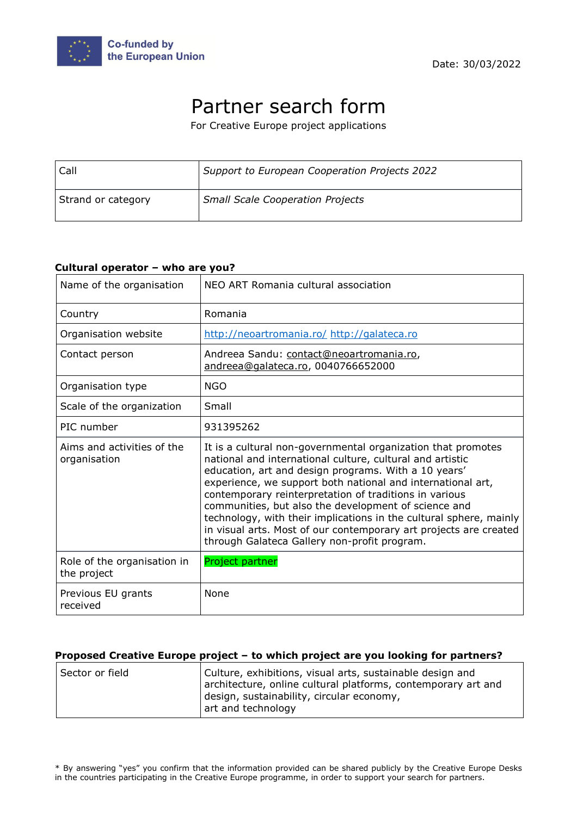

# Partner search form

For Creative Europe project applications

| Call               | Support to European Cooperation Projects 2022 |
|--------------------|-----------------------------------------------|
| Strand or category | <b>Small Scale Cooperation Projects</b>       |

#### **Cultural operator – who are you?**

| Name of the organisation                   | NEO ART Romania cultural association                                                                                                                                                                                                                                                                                                                                                                                                                                                                                                                          |
|--------------------------------------------|---------------------------------------------------------------------------------------------------------------------------------------------------------------------------------------------------------------------------------------------------------------------------------------------------------------------------------------------------------------------------------------------------------------------------------------------------------------------------------------------------------------------------------------------------------------|
| Country                                    | Romania                                                                                                                                                                                                                                                                                                                                                                                                                                                                                                                                                       |
| Organisation website                       | http://neoartromania.ro/ http://galateca.ro                                                                                                                                                                                                                                                                                                                                                                                                                                                                                                                   |
| Contact person                             | Andreea Sandu: contact@neoartromania.ro,<br>andreea@galateca.ro, 0040766652000                                                                                                                                                                                                                                                                                                                                                                                                                                                                                |
| Organisation type                          | <b>NGO</b>                                                                                                                                                                                                                                                                                                                                                                                                                                                                                                                                                    |
| Scale of the organization                  | Small                                                                                                                                                                                                                                                                                                                                                                                                                                                                                                                                                         |
| PIC number                                 | 931395262                                                                                                                                                                                                                                                                                                                                                                                                                                                                                                                                                     |
| Aims and activities of the<br>organisation | It is a cultural non-governmental organization that promotes<br>national and international culture, cultural and artistic<br>education, art and design programs. With a 10 years'<br>experience, we support both national and international art,<br>contemporary reinterpretation of traditions in various<br>communities, but also the development of science and<br>technology, with their implications in the cultural sphere, mainly<br>in visual arts. Most of our contemporary art projects are created<br>through Galateca Gallery non-profit program. |
| Role of the organisation in<br>the project | Project partner                                                                                                                                                                                                                                                                                                                                                                                                                                                                                                                                               |
| Previous EU grants<br>received             | None                                                                                                                                                                                                                                                                                                                                                                                                                                                                                                                                                          |

#### **Proposed Creative Europe project – to which project are you looking for partners?**

| Sector or field | Culture, exhibitions, visual arts, sustainable design and                                                  |
|-----------------|------------------------------------------------------------------------------------------------------------|
|                 | architecture, online cultural platforms, contemporary art and<br>design, sustainability, circular economy, |
|                 | art and technology                                                                                         |